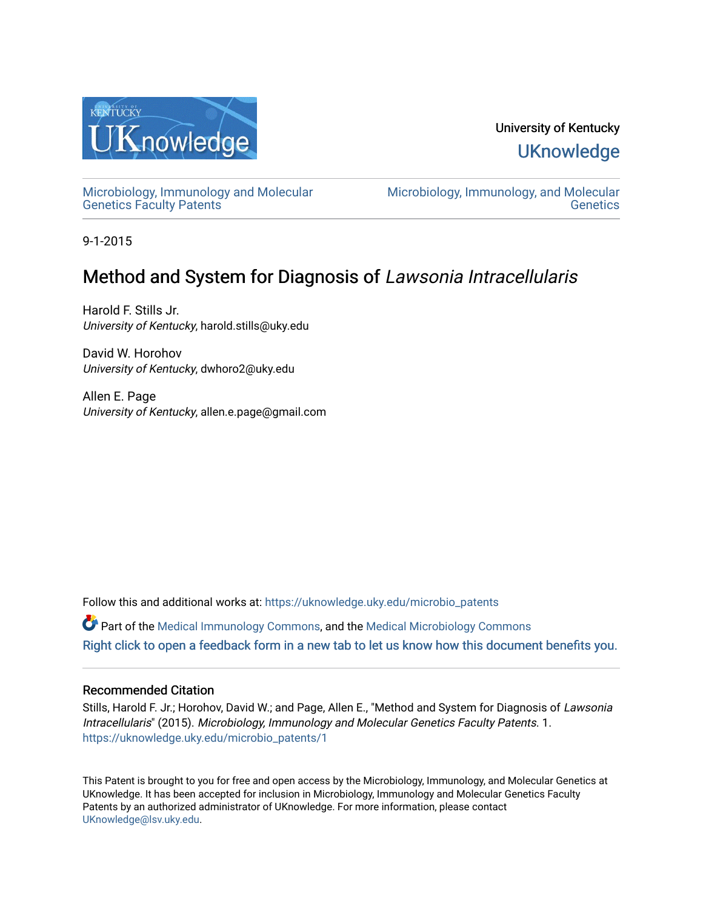

# University of Kentucky **UKnowledge**

[Microbiology, Immunology and Molecular](https://uknowledge.uky.edu/microbio_patents)  [Genetics Faculty Patents](https://uknowledge.uky.edu/microbio_patents)

[Microbiology, Immunology, and Molecular](https://uknowledge.uky.edu/microbio)  **Genetics** 

9-1-2015

# Method and System for Diagnosis of Lawsonia Intracellularis

Harold F. Stills Jr. University of Kentucky, harold.stills@uky.edu

David W. Horohov University of Kentucky, dwhoro2@uky.edu

Allen E. Page University of Kentucky, allen.e.page@gmail.com

Follow this and additional works at: [https://uknowledge.uky.edu/microbio\\_patents](https://uknowledge.uky.edu/microbio_patents?utm_source=uknowledge.uky.edu%2Fmicrobio_patents%2F1&utm_medium=PDF&utm_campaign=PDFCoverPages) 

Part of the [Medical Immunology Commons,](http://network.bepress.com/hgg/discipline/671?utm_source=uknowledge.uky.edu%2Fmicrobio_patents%2F1&utm_medium=PDF&utm_campaign=PDFCoverPages) and the [Medical Microbiology Commons](http://network.bepress.com/hgg/discipline/672?utm_source=uknowledge.uky.edu%2Fmicrobio_patents%2F1&utm_medium=PDF&utm_campaign=PDFCoverPages)  [Right click to open a feedback form in a new tab to let us know how this document benefits you.](https://uky.az1.qualtrics.com/jfe/form/SV_9mq8fx2GnONRfz7)

## Recommended Citation

Stills, Harold F. Jr.; Horohov, David W.; and Page, Allen E., "Method and System for Diagnosis of Lawsonia Intracellularis" (2015). Microbiology, Immunology and Molecular Genetics Faculty Patents. 1. [https://uknowledge.uky.edu/microbio\\_patents/1](https://uknowledge.uky.edu/microbio_patents/1?utm_source=uknowledge.uky.edu%2Fmicrobio_patents%2F1&utm_medium=PDF&utm_campaign=PDFCoverPages) 

This Patent is brought to you for free and open access by the Microbiology, Immunology, and Molecular Genetics at UKnowledge. It has been accepted for inclusion in Microbiology, Immunology and Molecular Genetics Faculty Patents by an authorized administrator of UKnowledge. For more information, please contact [UKnowledge@lsv.uky.edu.](mailto:UKnowledge@lsv.uky.edu)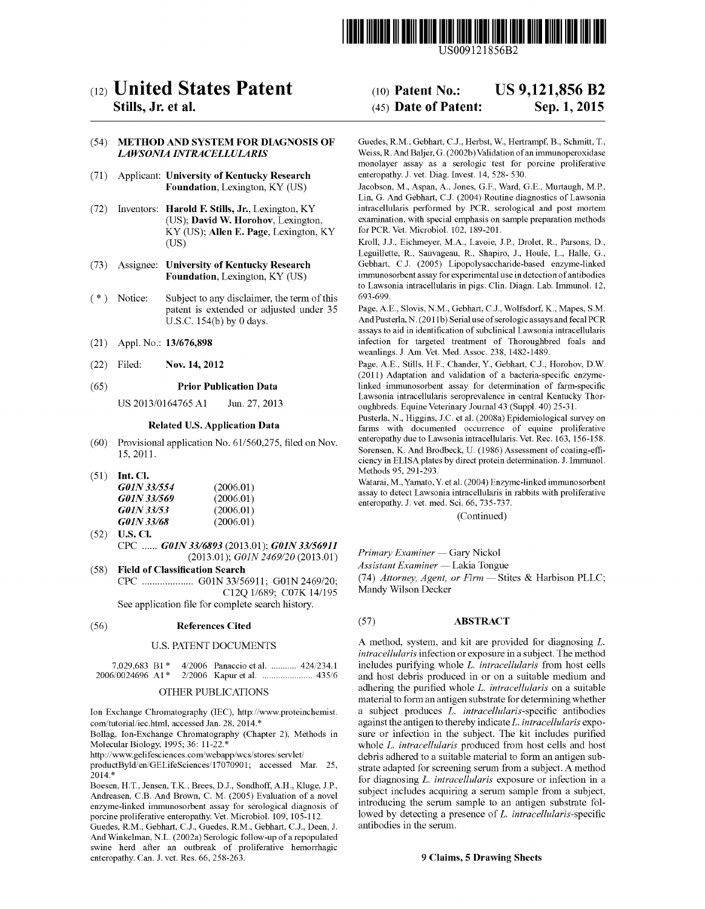

US009121856B2

# c12) **United States Patent**

### **Stills, Jr. et al.**

#### (54) **METHOD AND SYSTEM FOR DIAGNOSIS OF**  *LAWSON/A INTRACELLULARIS*

- (71) Applicant: **University of Kentucky Research Foundation,** Lexington, KY (US)
- (72) Inventors: **Harold F. Stills, Jr.,** Lexington, KY (US); **David W. Horohov,** Lexington, KY (US); **Allen E. Page,** Lexington, KY (US)
- (73) Assignee: **University of Kentucky Research Foundation,** Lexington, KY (US)
- (\*) Notice: Subject to any disclaimer, the term of this patent is extended or adjusted under 35 U.S.C. 154(b) by 0 days.
- (21) Appl. No.: **13/676,898**
- (22) Filed: **Nov. 14, 2012**

#### (65) **Prior Publication Data**

US 2013/0164765 Al Jun. 27, 2013

#### **Related U.S. Application Data**

- (60) Provisional application No. 61/560,275, filed on Nov. 15, 2011.
- (51) **Int. Cl.**

| <i>G01N 33/554</i> | (2006.01) |
|--------------------|-----------|
| G01N 33/569        | (2006.01) |
| <i>G01N 33/53</i>  | (2006.01) |
| <i>G01N 33/68</i>  | (2006.01) |

- (52) **U.S. Cl.**  CPC ...... *GOJN 3316893* (2013.01); *GOJN 33156911*  (2013.01); *GOJN 2469/20* (2013.01)
- (58) **Field of Classification Search**  CPC .................... GOlN 33/56911; GOlN 2469/20; C12Q 1/689; C07K 14/195 See application file for complete search history.

#### (56) **References Cited**

#### U.S. PATENT DOCUMENTS

|  | 7,029,683 B1* 4/2006 Panaccio et al.  424/234.1 |
|--|-------------------------------------------------|
|  |                                                 |

#### OTHER PUBLICATIONS

Ion Exchange Chromatography (IEC), http://www.proteinchemist. com/tutorial/iec.html, accessed Jan. 28, 2014.\*

Bollag, Ion-Exchange Chromatography (Chapter 2), Methods in Molecular Biology, 1995; 36: 11-22.<sup>\*</sup>

http://www.gelifesciences.com/webapp/wcs/stores/servlet/

productByld/en/GELifeSciences/ 17070901; accessed Mar. 25, 2014.\*

Boesen, H.T., Jensen, T.K., Brees, D.J., Sondhoff, A.H., Kluge, J.P., Andreasen, C.B. And Brown, C. M. (2005) Evaluation of a novel enzyme-linked immunosorbent assay for serological diagnosis of porcine proliferative enteropathy. Vet. Microbiol. 109, 105-112.

Guedes, R.M., Gebhart, C.J., Guedes, R.M., Gebhart, C.J., Deen, J. And Winkelman, N.L. (2002a) Serologic follow-up of a repopulated swine herd after an outbreak of proliferative hemorrhagic enteropathy. Can. J. vet. Res. 66, 258-263.

#### (10) **Patent No.:**  (45) **Date of Patent: US 9,121,856 B2 Sep.1,2015**

Guedes, R.M., Gebhart, C.J., Herbst, W., Hertrampf, B., Schmitt, T., Weiss, R. And Baljer, G. (2002b) Validation of an immunoperoxidase monolayer assay as a serologic test for porcine proliferative enteropathy. J. vet. Diag. Invest. 14, 528- 530.

Jacobson, M., Aspan, A., Jones, G.F., Ward, G.E., Murtaugh, M.P., Lin, G. And Gebhart, C.J. (2004) Routine diagnostics of Lawsonia intracellularis performed by PCR, serological and post mortem examination, with special emphasis on sample preparation methods for PCR. Vet. Microbiol. 102, 189-201.

Kroll, J.J., Eichmeyer, M.A., Lavoie, J.P., Drolet, R., Parsons, D., Leguillette, R., Sauvageau, R., Shapiro, J., Houle, L., Halle, G., Gebhart, C.J. (2005) Lipopolysaccharide-based enzyme-linked immunosorbent assay for experimental use in detection of antibodies to Lawsonia intracellularis in pigs. Clin. Diagn. Lab. Immunol. 12, 693-699.

Page, A. E., Slovis, N.M., Gebhart, C.J., Wolfsdorf, K., Mapes, S.M. And Pusterla, N. (2011b) Serial use of serologic assays and fecal PCR assays to aid in identification of subclinical Lawsonia intracellularis infection for targeted treatment of Thoroughbred foals and weanlings. J. Am. Vet. Med. Assoc. 238, 1482-1489.

Page, A.E., Stills, H.F., Chander, Y., Gebhart, C.J., Horohov, D.W. (2011) Adaptation and validation of a bacteria-specific enzymelinked immunosorbent assay for determination of farm-specific Lawsonia intracellularis seroprevalence in central Kentucky Thoroughbreds. Equine Veterinary Journal 43 (Suppl. 40) 25-31.

Pusterla, N., Higgins, J.C. et al. (2008a) Epidemiological survey on farms with documented occurrence of equine proliferative enteropathy due to Lawsonia intracellularis. Vet. Rec. 163, 156-158. Sorensen, K. And Brodbeck, U. (1986) Assessment of coating-efficiency in ELISA plates by direct protein determination. J. Immunol. Methods 95, 291-293.

Watarai, M., Yamato, Y. eta!. (2004) Enzyme-linked immunosorbent assay to detect Lawsonia intracellularis in rabbits with proliferative enteropathy. J. vet. med. Sci. 66, 735-737.

(Continued)

*Primary Examiner-* Gary Nickol

*Assistant Examiner-* Lakia Tongue

(74) *Attorney, Agent, or Firm-* Stites & Harbison PLLC; Mandy Wilson Decker

#### (57) **ABSTRACT**

A method, system, and kit are provided for diagnosing *L. intracellularis* infection or exposure in a subject. The method includes purifYing whole *L. intracellularis* from host cells and host debris produced in or on a suitable medium and adhering the purified whole *L. intracellularis* on a suitable material to form an antigen substrate for determining whether a subject produces *L. intracellularis-specific* antibodies against the antigen to thereby indicate *L. intracellularis* exposure or infection in the subject. The kit includes purified whole *L. intracellularis* produced from host cells and host debris adhered to a suitable material to form an antigen substrate adapted for screening serum from a subject. A method for diagnosing *L. intracellularis* exposure or infection in a subject includes acquiring a serum sample from a subject, introducing the serum sample to an antigen substrate followed by detecting a presence of *L. intracellularis-specific*  antibodies in the serum.

#### **9 Claims, 5 Drawing Sheets**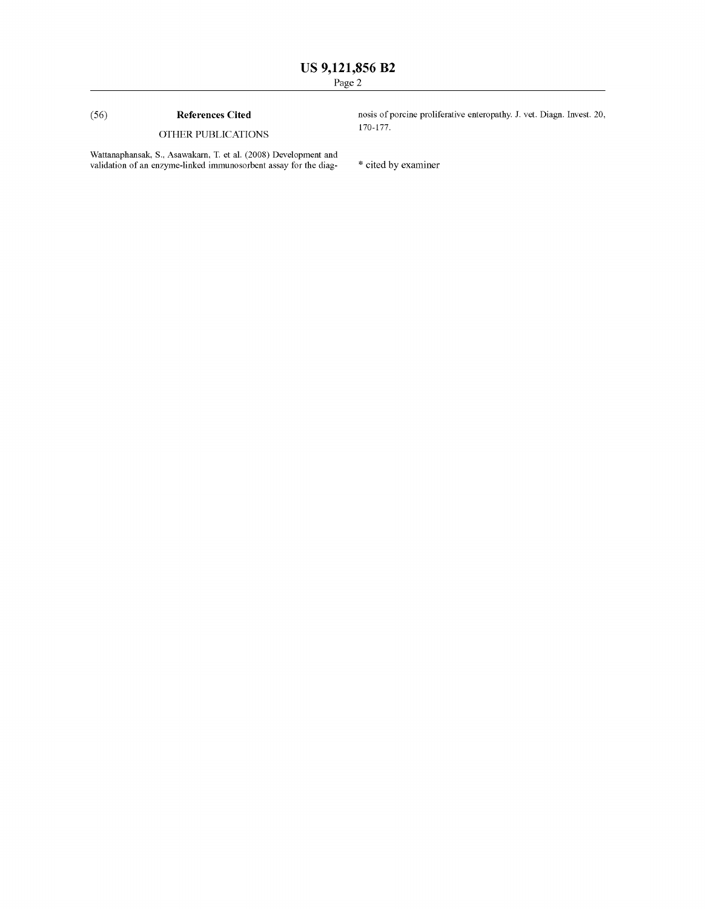### (56) **References Cited**

### OTHER PUBLICATIONS

Wattanaphansak, S., Asawakarn, T. et a!. (2008) Development and validation of an enzyme-linked immunosorbent assay for the diag- \* cited by examiner

nosis of porcine proliferative enteropathy. J. vet. Diagn. Invest. 20, 170-177.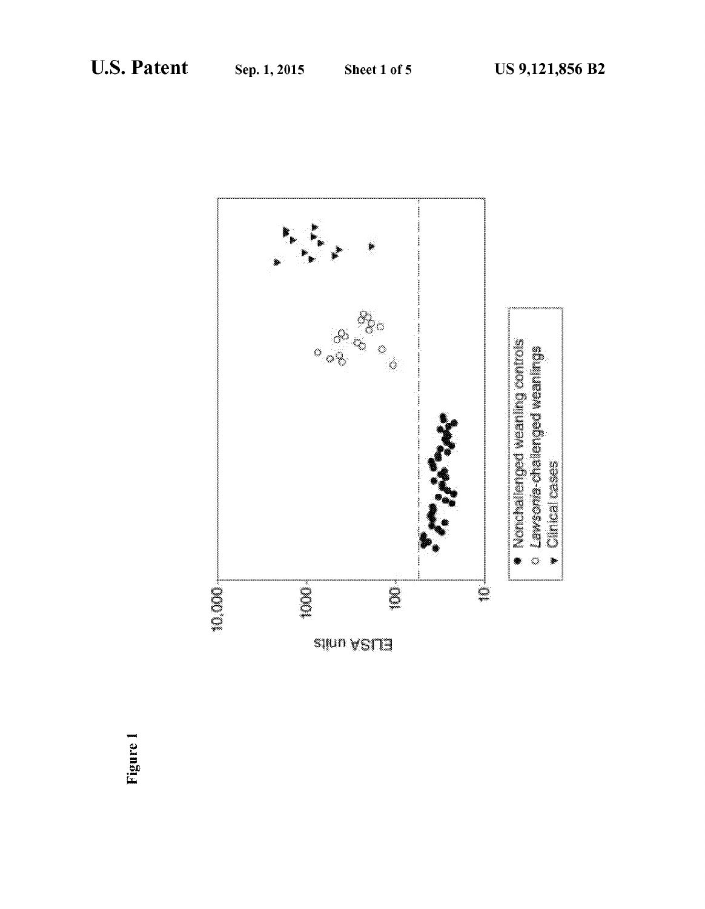

Figure 1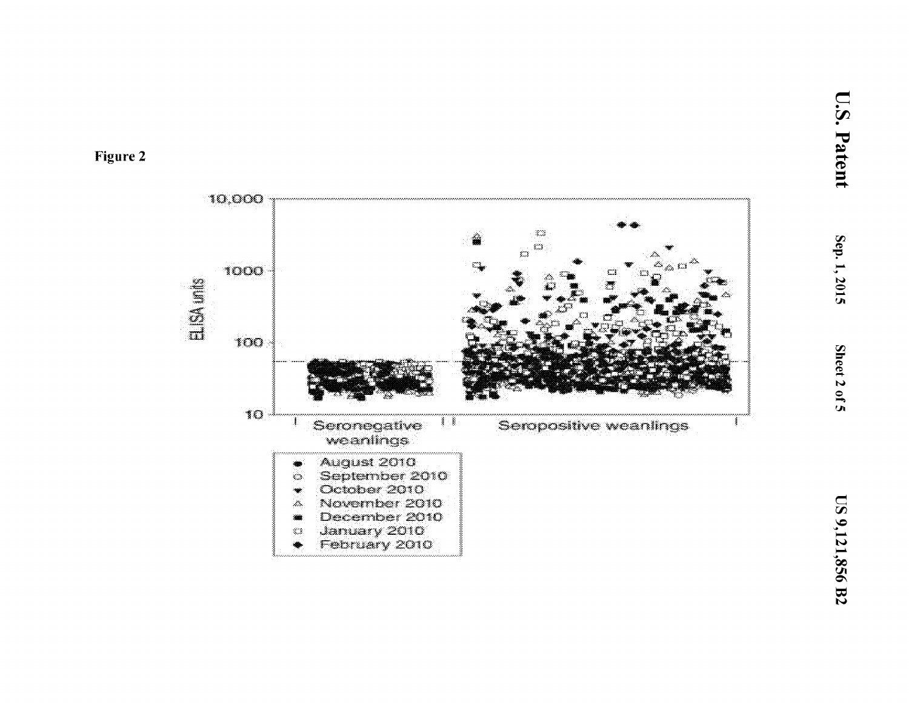

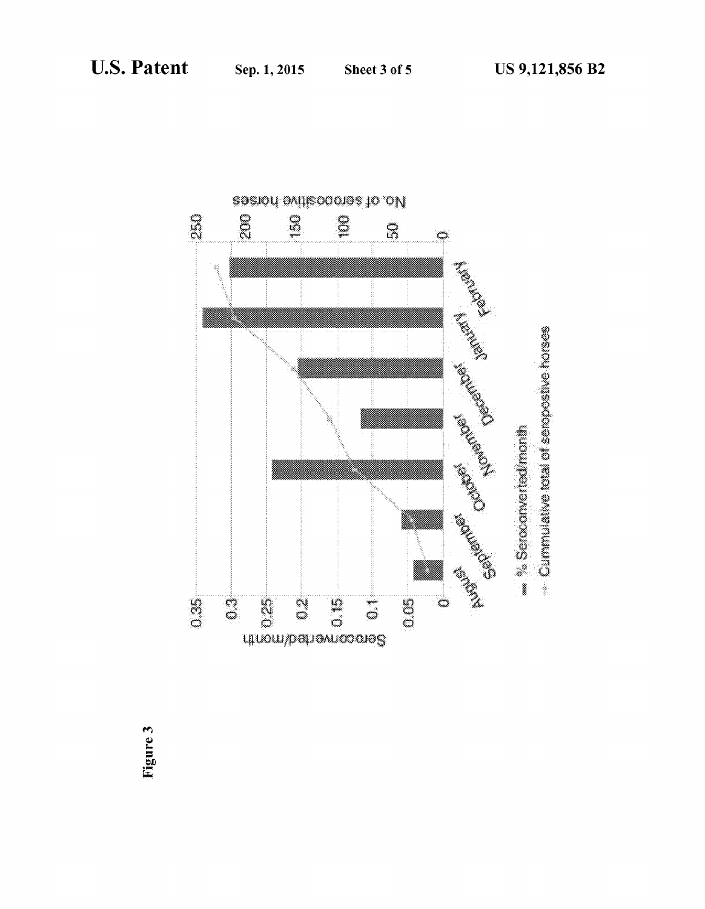

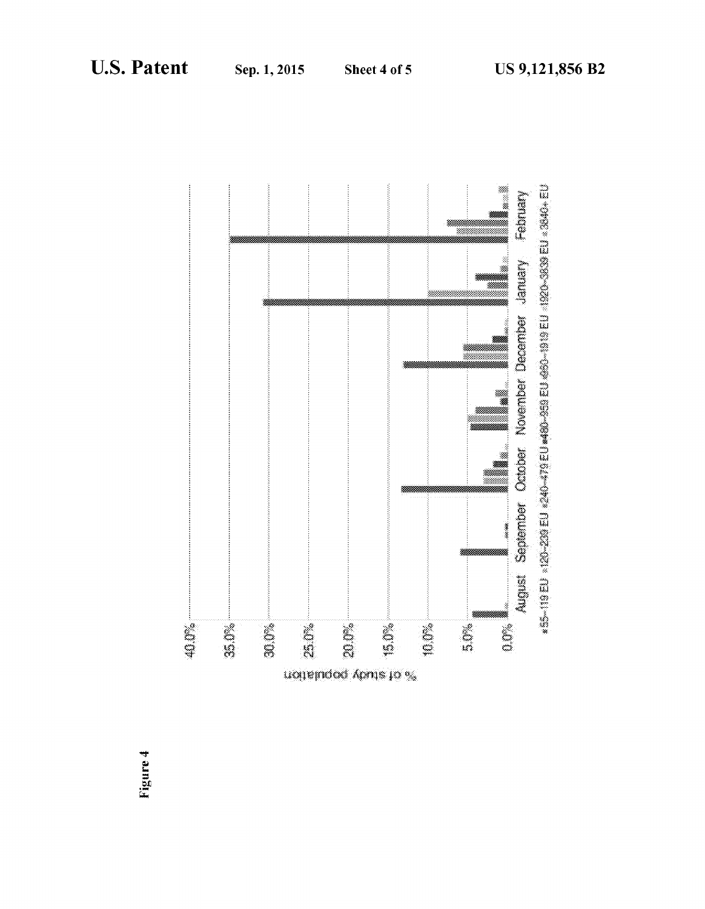

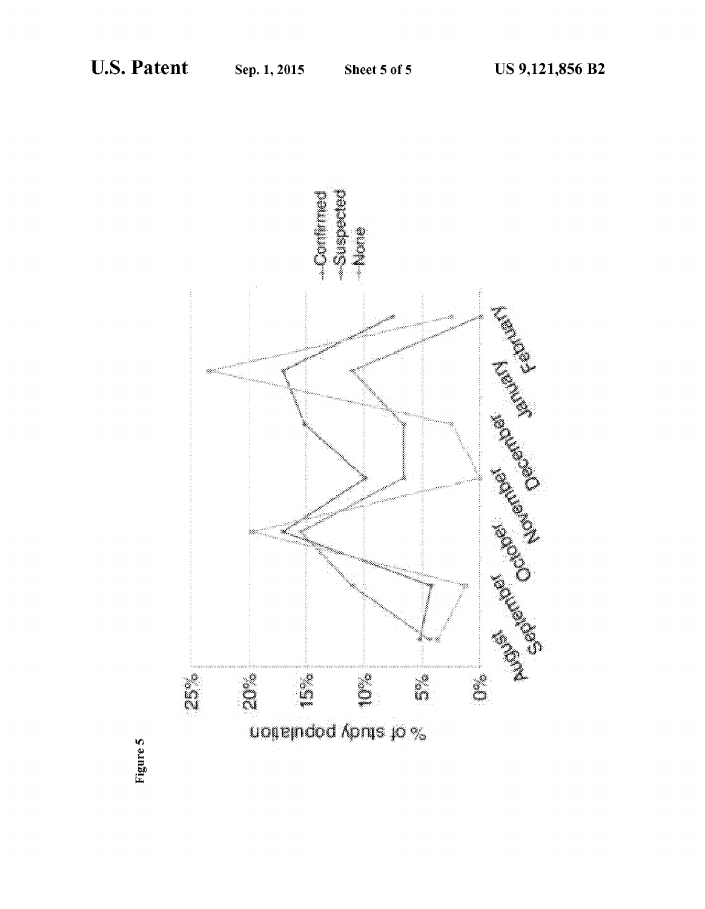

Figure 5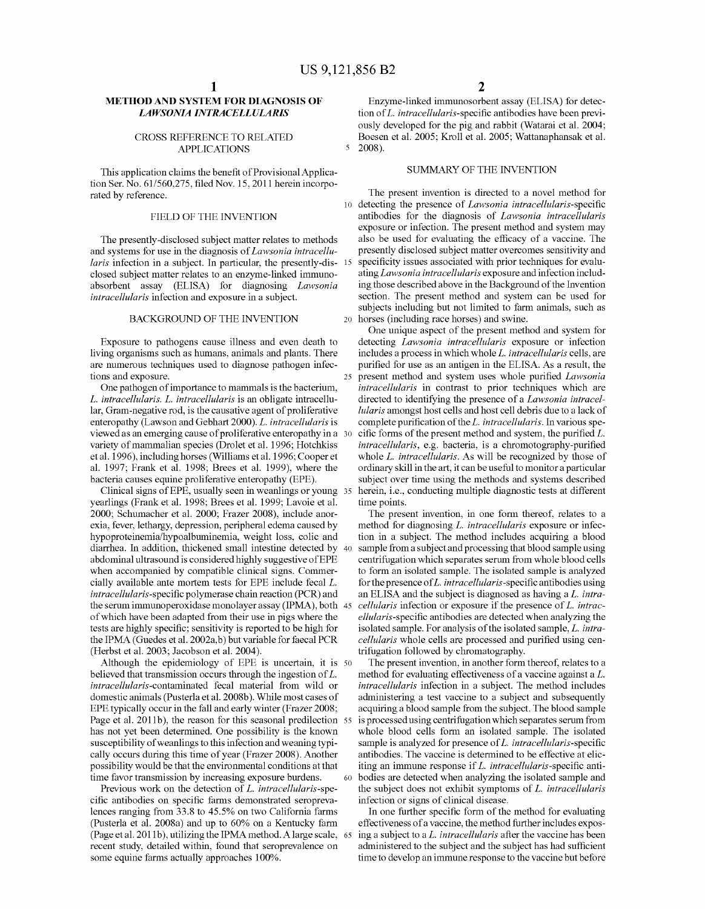$\overline{\mathbf{S}}$ 

### **METHOD AND SYSTEM FOR DIAGNOSIS OF**  *LAWSON/A INTRACELLULARIS*

#### CROSS REFERENCE TO RELATED APPLICATIONS

This application claims the benefit of Provisional Application Ser. No. 61/560,275, filed Nov. 15, 2011 herein incorporated by reference.

#### FIELD OF THE INVENTION

The presently-disclosed subject matter relates to methods and systems for use in the diagnosis of *Law sonia intracellularis* infection in a subject. In particular, the presently-dis- 15 closed subject matter relates to an enzyme-linked immunoabsorbent assay (ELISA) for diagnosing *Lawsonia intracellularis* infection and exposure in a subject.

Exposure to pathogens cause illness and even death to living organisms such as humans, animals and plants. There are numerous techniques used to diagnose pathogen infections and exposure.

One pathogen of importance to mammals is the bacterium, *L. intracellularis. L. intracellularis* is an obligate intracellular, Gram-negative rod, is the causative agent of proliferative enteropathy (Lawson and Gebhart 2000). *L. intracellularis* is viewed as an emerging cause of proliferative enteropathy in a variety of mammalian species (Drolet et al. 1996; Hotchkiss et al. 1996), including horses (Williams et al. 1996; Cooper et al. 1997; Frank et al. 1998; Brees et al. 1999), where the bacteria causes equine proliferative enteropathy (EPE).

yearlings (Frank et al. 1998; Brees et al. 1999; Lavoie et al. 2000; Schumacher et a!. 2000; Frazer 2008), include anorexia, fever, lethargy, depression, peripheral edema caused by hypoproteinemia/hypoalbuminemia, weight loss, colic and diarrhea. In addition, thickened small intestine detected by 40 abdominal ultrasound is considered highly suggestive of EPE when accompanied by compatible clinical signs. Commercially available ante mortem tests for EPE include fecal *L. intracellularis-specific* polymerase chain reaction (PCR) and the serum immunoperoxidase monolayer assay (IPMA), both 45 of which have been adapted from their use in pigs where the tests are highly specific; sensitivity is reported to be high for the IPMA (Guedes et al. 2002a,b) but variable for faecal PCR (Herbst et al. 2003; Jacobson et al. 2004).

Although the epidemiology of EPE is uncertain, it is 50 believed that transmission occurs through the ingestion of L. *intracellularis-contaminated* fecal material from wild or domestic animals (Pusterla et al. 2008b). While most cases of EPE typically occur in the fall and early winter (Frazer 2008; Page et al. 2011b), the reason for this seasonal predilection 55 has not yet been determined. One possibility is the known susceptibility of weanlings to this infection and weaning typically occurs during this time of year (Frazer 2008). Another possibility would be that the environmental conditions at that time favor transmission by increasing exposure burdens.

Previous work on the detection of L. *intracellularis-spe*cific antibodies on specific farms demonstrated seroprevalences ranging from 33.8 to 45.5% on two California farms (Pusterla et a!. 2008a) and up to 60% on a Kentucky farm (Page et al. 2011b), utilizing the IPMA method. A large scale, 65 recent study, detailed within, found that seroprevalence on some equine farms actually approaches 100%.

Enzyme-linked immunosorbent assay (ELISA) for detection of L. *intracellularis-specific* antibodies have been previously developed for the pig and rabbit (Watarai et al. 2004; Boesen et al. 2005; Kroll et al. 2005; Wattanaphansak et al. 2008).

#### SUMMARY OF THE INVENTION

The present invention is directed to a novel method for 10 detecting the presence of *Lawsonia intracellularis-specific*  antibodies for the diagnosis of *Lawsonia intracellularis*  exposure or infection. The present method and system may also be used for evaluating the efficacy of a vaccine. The presently disclosed subject matter overcomes sensitivity and specificity issues associated with prior techniques for evaluating *Lawsonia intracellularis* exposure and infection including those described above in the Background of the Invention section. The present method and system can be used for subjects including but not limited to farm animals, such as BACKGROUND OF THE INVENTION 20 horses (including race horses) and swine.

One unique aspect of the present method and system for detecting *Lawsonia intracellularis* exposure or infection includes a process in which whole L. *intracellularis* cells, are purified for use as an antigen in the ELISA. As a result, the 25 present method and system uses whole purified *Lawsonia intracellularis* in contrast to prior techniques which are directed to identifying the presence of a *Law sonia intracellularis* amongst host cells and host cell debris due to a lack of complete purification of the L. *intracellularis.* In various specific forms of the present method and system, the purified  $L$ . *intracellularis, e.g. bacteria, is a chromotography-purified* whole *L. intracellularis.* As will be recognized by those of ordinary skill in the art, it can be useful to monitor a particular subject over time using the methods and systems described Clinical signs of EPE, usually seen in weanlings or young 35 herein, i.e., conducting multiple diagnostic tests at different time points.

> The present invention, in one form thereof, relates to a method for diagnosing L. *intracellularis* exposure or infection in a subject. The method includes acquiring a blood sample from a subject and processing that blood sample using centrifugation which separates serum from whole blood cells to form an isolated sample. The isolated sample is analyzed for the presence of L. *intracellularis-specific* antibodies using an ELISA and the subject is diagnosed as having a *L. intracellularis* infection or exposure if the presence of L. *intracellularis-specific* antibodies are detected when analyzing the isolated sample. For analysis of the isolated sample, *L. intracellularis* whole cells are processed and purified using centrifugation followed by chromatography.

The present invention, in another form thereof, relates to a method for evaluating effectiveness of a vaccine against a *L. intracellularis* infection in a subject. The method includes administering a test vaccine to a subject and subsequently acquiring a blood sample from the subject. The blood sample is processed using centrifugation which separates serum from whole blood cells form an isolated sample. The isolated sample is analyzed for presence of L. *intracellularis-specific*  antibodies. The vaccine is determined to be effective at eliciting an immune response if *L. intracellularis-specific* anti-60 bodies are detected when analyzing the isolated sample and the subject does not exhibit symptoms of *L. intracellularis*  infection or signs of clinical disease.

In one further specific form of the method for evaluating effectiveness of a vaccine, the method further includes exposing a subject to a L. *intracellularis* after the vaccine has been administered to the subject and the subject has had sufficient time to develop an immune response to the vaccine but before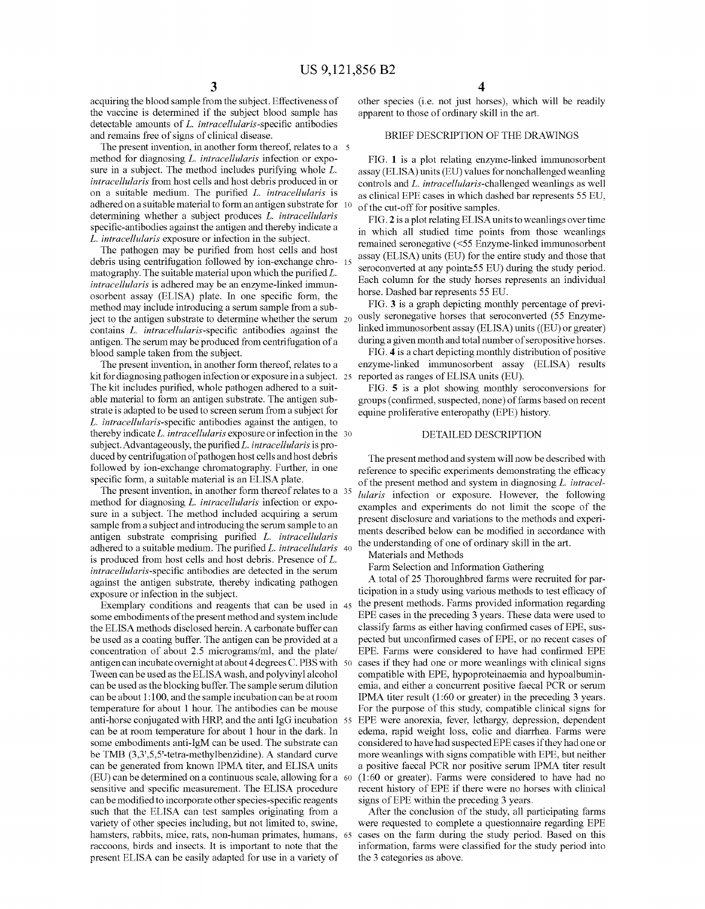acquiring the blood sample from the subject. Effectiveness of the vaccine is determined if the subject blood sample has detectable amounts of *L. intracellularis-specific* antibodies and remains free of signs of clinical disease.

The present invention, in another form thereof, relates to a 5 method for diagnosing *L. intracellularis* infection or exposure in a subject. The method includes purifying whole *L. intracellularis* from host cells and host debris produced in or on a suitable medium. The purified *L. intracellularis* is adhered on a suitable material to form an antigen substrate for 10 determining whether a subject produces *L. intracellularis*  specific-antibodies against the antigen and thereby indicate a *L. intracellularis* exposure or infection in the subject.

The pathogen may be purified from host cells and host debris using centrifugation followed by ion-exchange chro- 15 matography. The suitable material upon which the purified *L. intracellularis* is adhered may be an enzyme-linked immunosorbent assay (ELISA) plate. In one specific form, the method may include introducing a serum sample from a subject to the antigen substrate to determine whether the serum 20 contains *L. intracellularis-specific* antibodies against the antigen. The serum may be produced from centrifugation of a blood sample taken from the subject.

The present invention, in another form thereof, relates to a kit for diagnosing pathogen infection or exposure in a subject. 25 The kit includes purified, whole pathogen adhered to a suitable material to form an antigen substrate. The antigen substrate is adapted to be used to screen serum from a subject for *L. intracellularis-specific* antibodies against the antigen, to thereby indicate *L. intracellularis* exposure or infection in the 30 subject. Advantageously, the purifiedL. *intracellularis* is produced by centrifugation of pathogen host cells and host debris followed by ion-exchange chromatography. Further, in one specific form, a suitable material is an ELISA plate.

The present invention, in another form thereof relates to a 35 method for diagnosing *L. intracellularis* infection or exposure in a subject. The method included acquiring a serum sample from a subject and introducing the serum sample to an antigen substrate comprising purified *L. intracellularis*  adhered to a suitable medium. The purified *L. intracellularis* 40 is produced from host cells and host debris. Presence of *L. intracellularis-specific* antibodies are detected in the serum against the antigen substrate, thereby indicating pathogen exposure or infection in the subject.

Exemplary conditions and reagents that can be used in 45 some embodiments of the present method and system include the ELISA methods disclosed herein. A carbonate buffer can be used as a coating buffer. The antigen can be provided at a concentration of about 2.5 micrograms/ml, and the plate/ antigen can incubate overnight at about 4 degrees C. PBS with 50 Tween can be used as the ELISA wash, and polyvinyl alcohol can be used as the blocking buffer. The sample serum dilution can be about 1:100, and the sample incubation can be at room temperature for about 1 hour. The antibodies can be mouse anti-horse conjugated with HRP, and the anti IgG incubation 55 can be at room temperature for about 1 hour in the dark. In some embodiments anti-IgM can be used. The substrate can be TMB (3,3',5,5'-tetra-methylbenzidine). A standard curve can be generated from known IPMA titer, and ELISA units (EU) can be determined on a continuous scale, allowing for a 60 sensitive and specific measurement. The ELISA procedure can be modified to incorporate other species-specific reagents such that the ELISA can test samples originating from a variety of other species including, but not limited to, swine, hamsters, rabbits, mice, rats, non-human primates, humans, 65 raccoons, birds and insects. It is important to note that the present ELISA can be easily adapted for use in a variety of

other species (i.e. not just horses), which will be readily apparent to those of ordinary skill in the art.

#### BRIEF DESCRIPTION OF THE DRAWINGS

FIG. **1** is a plot relating enzyme-linked immunosorbent assay (ELISA) units (EU) values for nonchallenged weanling controls and *L. intracellularis-challenged* weanlings as well as clinical EPE cases in which dashed bar represents 55 EU, of the cut-off for positive samples.

FIG. **2** is a plot relating ELISA units to weanlings overtime in which all studied time points from those weanlings remained seronegative (<55 Enzyme-linked immunosorbent assay (ELISA) units (EU) for the entire study and those that seroconverted at any point $\geq$ 55 EU) during the study period. Each colunm for the study horses represents an individual horse. Dashed bar represents 55 EU.

FIG. **3** is a graph depicting monthly percentage of previously seronegative horses that seroconverted (55 Enzymelinked immunosorbent assay (ELISA) units ((EU) or greater) during a given month and total number of seropositive horses.

FIG. **4** is a chart depicting monthly distribution of positive enzyme-linked immunosorbent assay (ELISA) results reported as ranges of ELISA units (EU).

FIG. **5** is a plot showing monthly seroconversions for groups (confirmed, suspected, none) of farms based on recent equine proliferative enteropathy (EPE) history.

#### DETAILED DESCRIPTION

The present method and system will now be described with reference to specific experiments demonstrating the efficacy of the present method and system in diagnosing *L. intracellularis* infection or exposure. However, the following examples and experiments do not limit the scope of the present disclosure and variations to the methods and experiments described below can be modified in accordance with the understanding of one of ordinary skill in the art.

Materials and Methods

Farm Selection and Information Gathering

A total of 25 Thoroughbred farms were recruited for participation in a study using various methods to test efficacy of the present methods. Farms provided information regarding EPE cases in the preceding 3 years. These data were used to classify farms as either having confirmed cases of EPE, suspected but unconfirmed cases of EPE, or no recent cases of EPE. Farms were considered to have had confirmed EPE cases if they had one or more weanlings with clinical signs compatible with EPE, hypoproteinaemia and hypoalbuminemia, and either a concurrent positive faecal PCR or serum IPMA titer result (1:60 or greater) in the preceding 3 years. For the purpose of this study, compatible clinical signs for EPE were anorexia, fever, lethargy, depression, dependent edema, rapid weight loss, colic and diarrhea. Farms were considered to have had suspected EPE cases if they had one or more weanlings with signs compatible with EPE, but neither a positive faecal PCR nor positive serum IPMA titer result (1:60 or greater). Farms were considered to have had no recent history of EPE if there were no horses with clinical signs of EPE within the preceding 3 years.

After the conclusion of the study, all participating farms were requested to complete a questionnaire regarding EPE cases on the farm during the study period. Based on this information, farms were classified for the study period into the 3 categories as above.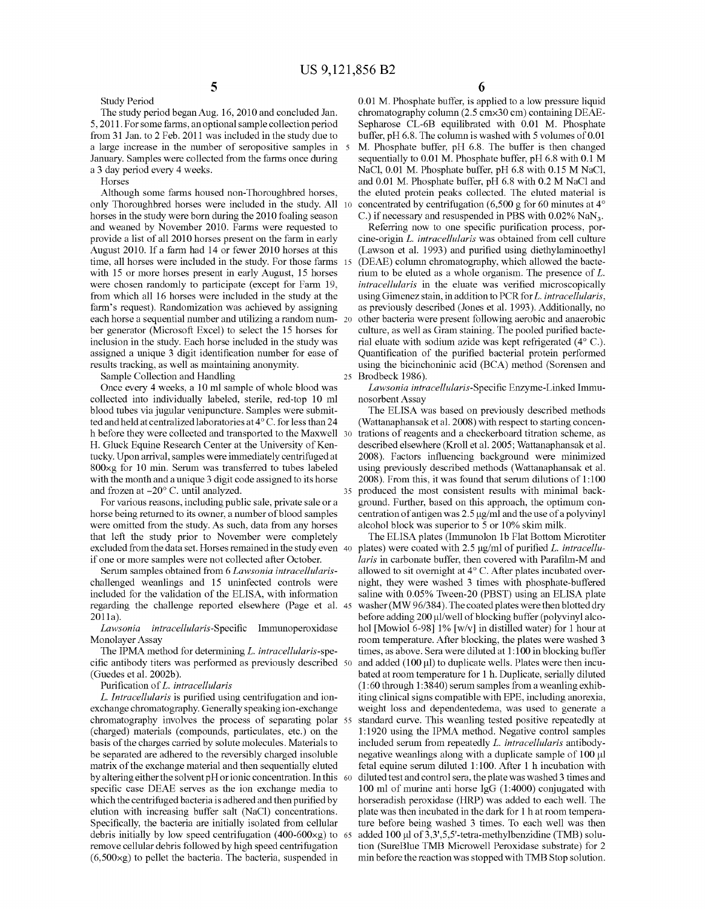The study period began Aug. 16, 2010 and concluded Jan. 5, 2011. For some farms, an optional sample collection period from 31 Jan. to 2 Feb. 2011 was included in the study due to a large increase in the number of seropositive samples in 5 January. Samples were collected from the farms once during a 3 day period every 4 weeks.

5

Horses

Study Period

Although some farms housed non-Thoroughbred horses, only Thoroughbred horses were included in the study. All horses in the study were born during the 2010 foaling season and weaned by November 2010. Farms were requested to provide a list of all 2010 horses present on the farm in early August 2010. If a farm had 14 or fewer 2010 horses at this time, all horses were included in the study. For those farms 15 with 15 or more horses present in early August, 15 horses were chosen randomly to participate (except for Farm 19, from which all 16 horses were included in the study at the farm's request). Randomization was achieved by assigning each horse a sequential number and utilizing a random num- 20 ber generator (Microsoft Excel) to select the 15 horses for inclusion in the study. Each horse included in the study was assigned a unique 3 digit identification number for ease of results tracking, as well as maintaining anonymity.

Sample Collection and Handling

Once every 4 weeks, a 10 ml sample of whole blood was collected into individually labeled, sterile, red-top 10 ml blood tubes via jugular venipuncture. Samples were submitted and held at centralized laboratories at 4°C. for less than 24 h before they were collected and transported to the Maxwell H. Gluck Equine Research Center at the University of Kentucky. Upon arrival, samples were immediately centrifuged at 800xg for 10 min. Serum was transferred to tubes labeled with the month and a unique 3 digit code assigned to its horse and frozen at -20° C. until analyzed.

For various reasons, including public sale, private sale or a horse being returned to its owner, a number of blood samples were omitted from the study. As such, data from any horses that left the study prior to November were completely excluded from the data set. Horses remained in the study even if one or more samples were not collected after October.

Serum samples obtained from 6 *Law sonia intracellularis*challenged weanlings and 15 uninfected controls were included for the validation of the ELISA, with information regarding the challenge reported elsewhere (Page et al. 45 2011a).

*Lawsonia intracellularis-Specific* Immunoperoxidase Monolayer Assay

The IPMA method for determining L. *intracellularis-spe*cific antibody titers was performed as previously described (Guedes et al. 2002b).

Purification of L. *intracellularis* 

L. *Intracellularis* is purified using centrifugation and ionexchange chromatography. Generally speaking ion-exchange chromatography involves the process of separating polar (charged) materials (compounds, particulates, etc.) on the basis of the charges carried by solute molecules. Materials to be separated are adhered to the reversibly charged insoluble matrix of the exchange material and then sequentially eluted by altering either the solvent pH or ionic concentration. In this specific case DEAE serves as the ion exchange media to which the centrifuged bacteria is adhered and then purified by elution with increasing buffer salt (NaCI) concentrations. Specifically, the bacteria are initially isolated from cellular debris initially by low speed centrifugation  $(400-600\times g)$  to 65 remove cellular debris followed by high speed centrifugation (6,500xg) to pellet the bacteria. The bacteria, suspended in

6

0.01 M. Phosphate buffer, is applied to a low pressure liquid chromatography colunm (2.5 cmx30 em) containing DEAE-Sepharose CL-6B equilibrated with 0.01 M. Phosphate buffer,  $pH$  6.8. The column is washed with 5 volumes of 0.01 M. Phosphate buffer, pH 6.8. The buffer is then changed sequentially to 0.01 M. Phosphate buffer, pH 6.8 with 0.1 M NaCI, 0.01 M. Phosphate buffer, pH 6.8 with 0.15 M NaCI, and 0.01 M. Phosphate buffer, pH 6.8 with 0.2 M NaCI and the eluted protein peaks collected. The eluted material is concentrated by centrifugation (6,500 g for 60 minutes at 4° C.) if necessary and resuspended in PBS with  $0.02\%$  NaN<sub>3</sub>.

Referring now to one specific purification process, porcine-origin L. *intracellularis* was obtained from cell culture (Lawson et al. 1993) and purified using diethylaminoethyl (DEAE) colunm chromatography, which allowed the bacterium to be eluted as a whole organism. The presence of L. *intracellularis* in the eluate was verified microscopically using Gimenez stain, in addition to PCR for L. *intracellularis,*  as previously described (Jones et al. 1993). Additionally, no other bacteria were present following aerobic and anaerobic culture, as well as Gram staining. The pooled purified bacterial eluate with sodium azide was kept refrigerated  $(4^{\circ}$  C.). Quantification of the purified bacterial protein performed using the bicinchoninic acid (BCA) method (Sorensen and 25 Brodbeck 1986).

*Law sonia intracellularis-Specific* Enzyme-Linked Immunosorbent Assay

The ELISA was based on previously described methods (Wattanaphansak et al. 2008) with respect to starting concentrations of reagents and a checkerboard titration scheme, as described elsewhere (Kroll et al. 2005; Wattanaphansak et al. 2008). Factors influencing background were minimized using previously described methods (Wattanaphansak et al. 2008). From this, it was found that serum dilutions of 1:100 produced the most consistent results with minimal background. Further, based on this approach, the optimum concentration of antigen was  $2.5 \mu g/ml$  and the use of a polyvinyl alcohol block was superior to 5 or 10% skim milk.

The ELISA plates (Immunolon 1b Flat Bottom Microtiter plates) were coated with 2.5 µg/ml of purified *L. intracellularis* in carbonate buffer, then covered with Parafilm-M and allowed to sit overnight at  $4^{\circ}$  C. After plates incubated overnight, they were washed 3 times with phosphate-buffered saline with 0.05% Tween-20 (PBST) using an ELISA plate washer (MW 96/384). The coated plates were then blotted dry before adding 200 µl/well of blocking buffer (polyvinyl alcohol [Mowiol 6-98] 1% [w/v] in distilled water) for 1 hour at room temperature. After blocking, the plates were washed 3 times, as above. Sera were diluted at 1:100 in blocking buffer and added  $(100 \,\mu\text{I})$  to duplicate wells. Plates were then incubated at room temperature for 1 h. Duplicate, serially diluted (1 :60 through 1:3840) serum samples from a weanling exhibiting clinical signs compatible with EPE, including anorexia, weight loss and dependentedema, was used to generate a standard curve. This weanling tested positive repeatedly at 1:1920 using the IPMA method. Negative control samples included serum from repeatedly L. *intracellularis* antibodynegative weanlings along with a duplicate sample of  $100 \mu$ l fetal equine serum diluted 1:100. After 1 h incubation with diluted test and control sera, the plate was washed 3 times and 100 ml of murine anti horse IgG (1:4000) conjugated with horseradish peroxidase (HRP) was added to each well. The plate was then incubated in the dark for 1 hat room temperature before being washed 3 times. To each well was then added 100 µl of 3,3',5,5'-tetra-methylbenzidine (TMB) solution (SureBlue TMB Microwell Peroxidase substrate) for 2 min before the reaction was stopped with TMB Stop solution.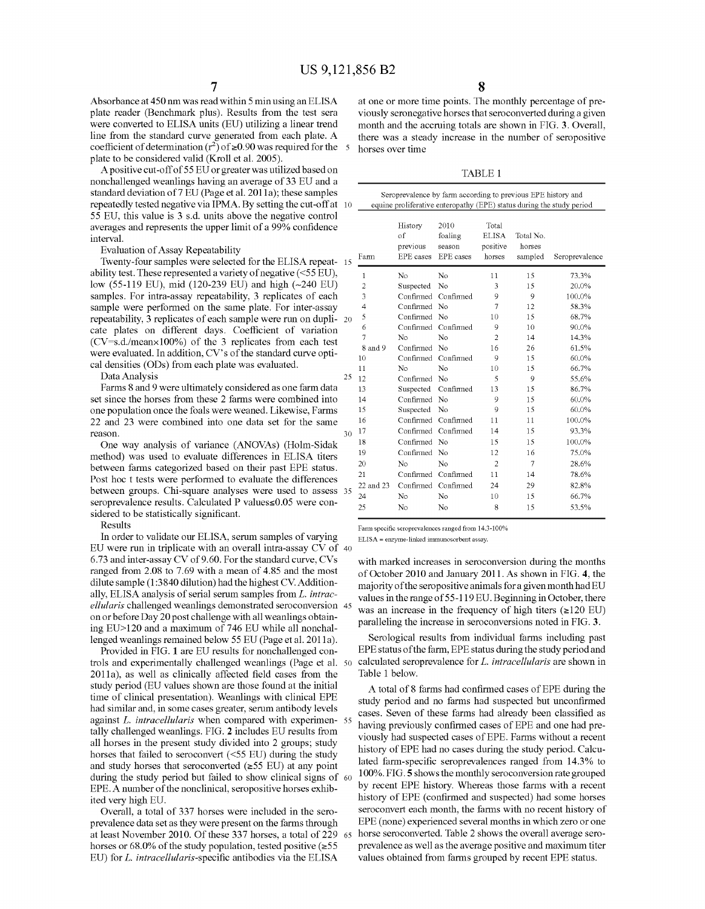Absorbance at 450 nm was read within 5 min using an ELISA plate reader (Benchmark plus). Results from the test sera were converted to ELISA units (EU) utilizing a linear trend line from the standard curve generated from each plate. A coefficient of determination  $(r^2)$  of  $\ge 0.90$  was required for the 5 plate to be considered valid (Kroll et al. 2005).

A positive cut -off of 55 EU or greater was utilized based on nonchallenged weanlings having an average of 33 EU and a standard deviation of 7 EU (Page et al. 2011a); these samples repeatedly tested negative via IPMA. By setting the cut-off at 10 55 EU, this value is 3 s.d. units above the negative control averages and represents the upper limit of a 99% confidence interval.

Results

In order to validate our ELISA, serum samples of varying EU were run in triplicate with an overall intra-assay CV of 40  $6.73$  and inter-assay CV of 9.60. For the standard curve, CVs ranged from 2.08 to 7.69 with a mean of 4.85 and the most dilute sample (1 :3840 dilution) had the highest CV. Additionally, ELISA analysis of serial serum samples from L. *intracellularis* challenged weanlings demonstrated seroconversion 45 on or before Day 20 post challenge with all weanlings obtaining EU>120 and a maximum of 746 EU while all nonchallenged weanlings remained below 55 EU (Page et al. 2011a).

Provided in FIG. 1 are EU results for nonchallenged controls and experimentally challenged weanlings (Page et al. 50 2011a), as well as clinically affected field cases from the study period (EU values shown are those found at the initial time of clinical presentation). Weanlings with clinical EPE had similar and, in some cases greater, serum antibody levels against L. *intracellularis* when compared with experimen- 55 tally challenged weanlings. FIG. 2 includes EU results from all horses in the present study divided into 2 groups; study horses that failed to seroconvert (<55 EU) during the study and study horses that seroconverted  $(\geq 55$  EU) at any point during the study period but failed to show clinical signs of 60 EPE. A number of the nonclinical, seropositive horses exhibited very high EU.

Overall, a total of 337 horses were included in the seraprevalence data set as they were present on the farms through at least November 2010. Of these 337 horses, a total of 229 65 horses or 68.0% of the study population, tested positive  $(\geq 55)$ EU) for L. *intracellularis-specific* antibodies via the ELISA

at one or more time points. The monthly percentage of previously seronegative horses that seroconverted during a given month and the accruing totals are shown in FIG. 3. Overall, there was a steady increase in the number of seropositive horses over time

TABLE 1

| standard deviation of 7 EU (Page et al. 2011a); these samples     |    | Seroprevalence by farm according to previous EPE history and |                     |                                                                       |                |           |                |
|-------------------------------------------------------------------|----|--------------------------------------------------------------|---------------------|-----------------------------------------------------------------------|----------------|-----------|----------------|
| repeatedly tested negative via IPMA. By setting the cut-off at 10 |    |                                                              |                     | equine proliferative enteropathy (EPE) status during the study period |                |           |                |
| 55 EU, this value is 3 s.d. units above the negative control      |    |                                                              |                     |                                                                       |                |           |                |
| averages and represents the upper limit of a 99% confidence       |    |                                                              | History             | 2010                                                                  | Total          |           |                |
| interval.                                                         |    |                                                              | of                  | foaling                                                               | <b>ELISA</b>   | Total No. |                |
| Evaluation of Assay Repeatability                                 |    |                                                              | previous            | season                                                                | positive       | horses    |                |
| Twenty-four samples were selected for the ELISA repeat-15         |    | Farm                                                         | EPE cases           | EPE cases                                                             | horses         | sampled   | Seroprevalence |
| ability test. These represented a variety of negative $(<55$ EU), |    | $\mathbf{1}$                                                 | No.                 | No.                                                                   | 11             | 15        | 73.3%          |
| low (55-119 EU), mid (120-239 EU) and high (~240 EU)              |    | $\sqrt{2}$                                                   | Suspected           | No                                                                    | 3              | 15        | 20.0%          |
| samples. For intra-assay repeatability, 3 replicates of each      |    | 3                                                            | Confirmed Confirmed |                                                                       | 9              | 9         | 100.0%         |
| sample were performed on the same plate. For inter-assay          |    | 4                                                            | Confirmed No        |                                                                       | 7              | 12        | 58.3%          |
| repeatability, 3 replicates of each sample were run on dupli- 20  |    | 5                                                            | Confirmed No        |                                                                       | 10             | 15        | 68.7%          |
| cate plates on different days. Coefficient of variation           |    | 6                                                            | Confirmed Confirmed |                                                                       | 9              | 10        | 90.0%          |
|                                                                   |    | 7                                                            | N <sub>o</sub>      | No                                                                    | $\overline{2}$ | 14        | 14.3%          |
| $(CV=s.d./mean\times100%)$ of the 3 replicates from each test     |    | 8 and 9                                                      | Confirmed No        |                                                                       | 16             | 26        | 61.5%          |
| were evaluated. In addition, CV's of the standard curve opti-     |    | 10                                                           | Confirmed Confirmed |                                                                       | 9              | 15        | 60.0%          |
| cal densities (ODs) from each plate was evaluated.                |    | 11                                                           | No.                 | N <sub>o</sub>                                                        | 10             | 15        | 66.7%          |
| Data Analysis                                                     | 25 | 12                                                           | Confirmed No        |                                                                       | 5              | 9         | 55.6%          |
| Farms 8 and 9 were ultimately considered as one farm data         |    | 13                                                           | Suspected Confirmed |                                                                       | 13             | 15        | 86.7%          |
| set since the horses from these 2 farms were combined into        |    | 14                                                           | Confirmed No        |                                                                       | 9              | 15        | 60.0%          |
| one population once the foals were weaned. Likewise, Farms        |    | 15                                                           | Suspected No        |                                                                       | 9              | 15        | 60.0%          |
| 22 and 23 were combined into one data set for the same            |    | 16                                                           | Confirmed Confirmed |                                                                       | 11             | 11        | 100.0%         |
| reason.                                                           | 30 | 17                                                           | Confirmed Confirmed |                                                                       | 14             | 15        | 93.3%          |
| One way analysis of variance (ANOVAs) (Holm-Sidak                 |    | 18                                                           | Confirmed No        |                                                                       | 15             | 15        | 100.0%         |
| method) was used to evaluate differences in ELISA titers          |    | 19                                                           | Confirmed No        |                                                                       | 12             | 16        | 75.0%          |
| between farms categorized based on their past EPE status.         |    | 20                                                           | No                  | N <sub>o</sub>                                                        | $\overline{2}$ | $\tau$    | 28.6%          |
|                                                                   |    | 21                                                           | Confirmed Confirmed |                                                                       | 11             | 14        | 78.6%          |
| Post hoc t tests were performed to evaluate the differences       |    | 22 and 23                                                    | Confirmed Confirmed |                                                                       | 24             | 29        | 82.8%          |
| between groups. Chi-square analyses were used to assess 35        |    | 24                                                           | No                  | No                                                                    | 10             | 15        | 66.7%          |
| seroprevalence results. Calculated P values≤0.05 were con-        |    | 25                                                           | No                  | No                                                                    | 8              | 15        | 53.5%          |
| sidered to be statistically significant.                          |    |                                                              |                     |                                                                       |                |           |                |

Farm specific seroprevalences ranged from 14.3-100%

ELISA= enzyme-linked immunosorbent assay.

with marked increases in seroconversion during the months of October 2010 and January 2011. As shown in FIG. 4, the majority of the seropositive animals for a given month had EU values in the range of 55-119 EU. Beginning in October, there was an increase in the frequency of high titers  $(\geq 120 \text{ EU})$ paralleling the increase in seroconversions noted in FIG. 3.

Serological results from individual farms including past EPE status of the farm, EPE status during the study period and calculated seroprevalence for L. *intracellularis* are shown in Table 1 below.

A total of 8 farms had confirmed cases of EPE during the study period and no farms had suspected but unconfirmed cases. Seven of these farms had already been classified as having previously confirmed cases of EPE and one had previously had suspected cases of EPE. Farms without a recent history of EPE had no cases during the study period. Calculated farm-specific seroprevalences ranged from 14.3% to 100%. FIG. 5 shows the monthly seroconversion rate grouped by recent EPE history. Whereas those farms with a recent history of EPE (confirmed and suspected) had some horses seroconvert each month, the farms with no recent history of EPE (none) experienced several months in which zero or one horse seroconverted. Table 2 shows the overall average seraprevalence as well as the average positive and maximum titer values obtained from farms grouped by recent EPE status.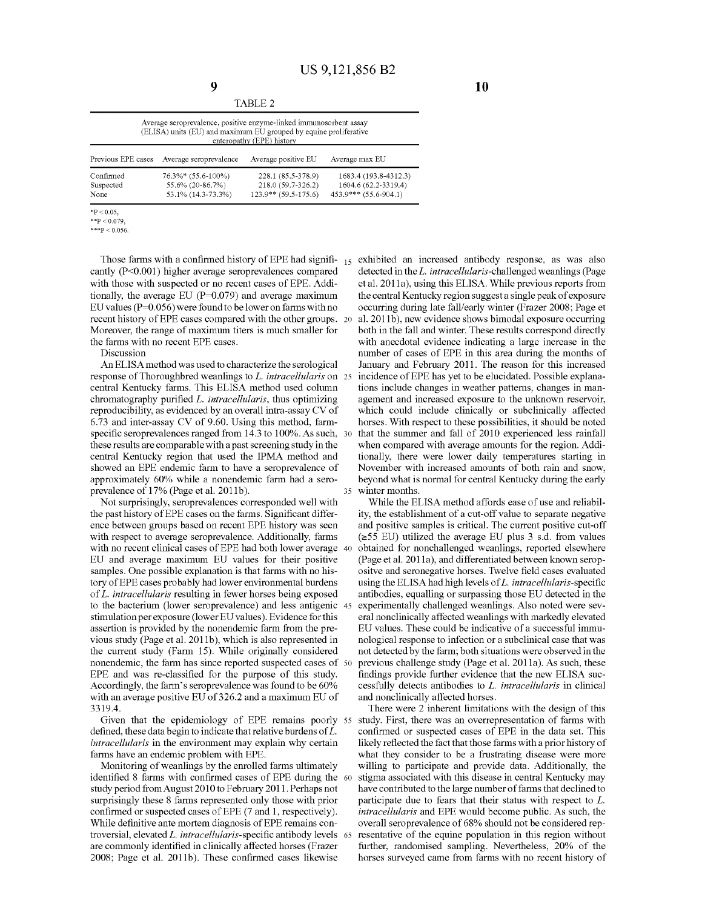| Average seroprevalence, positive enzyme-linked immunosorbent assay<br>(ELISA) units (EU) and maximum EU grouped by equine proliferative<br>enteropathy (EPE) history                                                |                    |                        | 1731 21 21 22 Z     |                       |  |  |
|---------------------------------------------------------------------------------------------------------------------------------------------------------------------------------------------------------------------|--------------------|------------------------|---------------------|-----------------------|--|--|
|                                                                                                                                                                                                                     |                    |                        |                     |                       |  |  |
|                                                                                                                                                                                                                     | Previous EPE cases | Average seroprevalence | Average positive EU | Average max EU        |  |  |
| Confirmed<br>228.1 (85.5-378.9)<br>76.3%* (55.6-100%)<br>218.0 (59.7-326.2)<br>1604.6 (62.2-3319.4)<br>55.6% (20-86.7%)<br>Suspected<br>453.9*** (55.6-904.1)<br>123.9** (59.5-175.6)<br>53.1% (14.3-73.3%)<br>None |                    |                        |                     | 1683.4 (193.8-4312.3) |  |  |

 $*P < 0.05$ ,  $*$ \*P < 0.079

 $***P < 0.056$ 

cantly (P<0.001) higher average seroprevalences compared with those with suspected or no recent cases of EPE. Additionally, the average EU ( $P=0.079$ ) and average maximum EU values ( $P=0.056$ ) were found to be lower on farms with no recent history of EPE cases compared with the other groups. 20 Moreover, the range of maximum titers is much smaller for the farms with no recent EPE cases.

Discussion

An ELISA method was used to characterize the serological response of Thoroughbred weanlings to L. *intracellularis* on central Kentucky farms. This ELISA method used column chromatography purified L. *intracellularis,* thus optimizing reproducibility, as evidenced by an overall intra-assay CV of 6.73 and inter-assay CV of 9.60. Using this method, farmspecific seroprevalences ranged from 14.3 to 100%. As such, 30 these results are comparable with a past screening study in the central Kentucky region that used the IPMA method and showed an EPE endemic farm to have a seroprevalence of approximately 60% while a nonendemic farm had a seraprevalence of 17% (Page et al. 2011b).

Not surprisingly, seroprevalences corresponded well with the past history of EPE cases on the farms. Significant difference between groups based on recent EPE history was seen with respect to average seroprevalence. Additionally, farms with no recent clinical cases of EPE had both lower average 40 EU and average maximum EU values for their positive samples. One possible explanation is that farms with no history of EPE cases probably had lower environmental burdens of L. *intracellularis* resulting in fewer horses being exposed to the bacterium (lower seroprevalence) and less antigenic 45 stimulation per exposure (lower EU values). Evidence for this assertion is provided by the nonendemic farm from the previous study (Page et al. 2011b), which is also represented in the current study (Farm 15). While originally considered nonendemic, the farm has since reported suspected cases of 50 EPE and was re-classified for the purpose of this study. Accordingly, the farm's seroprevalence was found to be 60% with an average positive EU of 326.2 and a maximum EU of 3319.4.

Given that the epidemiology of EPE remains poorly 55 defined, these data begin to indicate that relative burdens of L. *intracellularis* in the environment may explain why certain farms have an endemic problem with EPE.

Monitoring of weanlings by the enrolled farms ultimately identified 8 farms with confirmed cases of EPE during the study period from August 2010 to February 2011. Perhaps not surprisingly these 8 farms represented only those with prior confirmed or suspected cases of EPE (7 and 1, respectively). While definitive ante mortem diagnosis of EPE remains controversial, elevated L. *intracellularis-specific* antibody levels are commonly identified in clinically affected horses (Frazer 2008; Page et al. 2011b). These confirmed cases likewise

Those farms with a confirmed history of EPE had signifi-  $_{15}$  exhibited an increased antibody response, as was also detected in the L. *intracellularis-challenged* weanlings (Page et al. 2011a), using this ELISA. While previous reports from the central Kentucky region suggest a single peak of exposure occurring during late fall/early winter (Frazer 2008; Page et al. 2011b), new evidence shows bimodal exposure occurring both in the fall and winter. These results correspond directly with anecdotal evidence indicating a large increase in the number of cases of EPE in this area during the months of January and February 2011. The reason for this increased incidence of EPE has yet to be elucidated. Possible explanations include changes in weather patterns, changes in management and increased exposure to the unknown reservoir, which could include clinically or subclinically affected horses. With respect to these possibilities, it should be noted that the summer and fall of 2010 experienced less rainfall when compared with average amounts for the region. Additionally, there were lower daily temperatures starting in November with increased amounts of both rain and snow, beyond what is normal for central Kentucky during the early 35 winter months.

> While the ELISA method affords ease of use and reliability, the establishment of a cut-off value to separate negative and positive samples is critical. The current positive cut-off  $(\geq 55$  EU) utilized the average EU plus 3 s.d. from values obtained for nonchallenged weanlings, reported elsewhere (Page et al. 2011a), and differentiated between known seropositve and seronegative horses. Twelve field cases evaluated using the ELISA had high levels of L. *intracellularis-specific*  antibodies, equalling or surpassing those EU detected in the experimentally challenged weanlings. Also noted were several nonclinically affected weanlings with markedly elevated EU values. These could be indicative of a successful immunological response to infection or a subclinical case that was not detected by the farm; both situations were observed in the previous challenge study (Page et al. 2011a). As such, these findings provide further evidence that the new ELISA successfully detects antibodies to L. *intracellularis* in clinical and nonclinically affected horses.

> There were 2 inherent limitations with the design of this study. First, there was an overrepresentation of farms with confirmed or suspected cases of EPE in the data set. This likely reflected the fact that those farms with a prior history of what they consider to be a frustrating disease were more willing to participate and provide data. Additionally, the stigma associated with this disease in central Kentucky may have contributed to the large number of farms that declined to participate due to fears that their status with respect to L. *intracellularis* and EPE would become public. As such, the overall seroprevalence of 68% should not be considered representative of the equine population in this region without further, randomised sampling. Nevertheless, 20% of the horses surveyed came from farms with no recent history of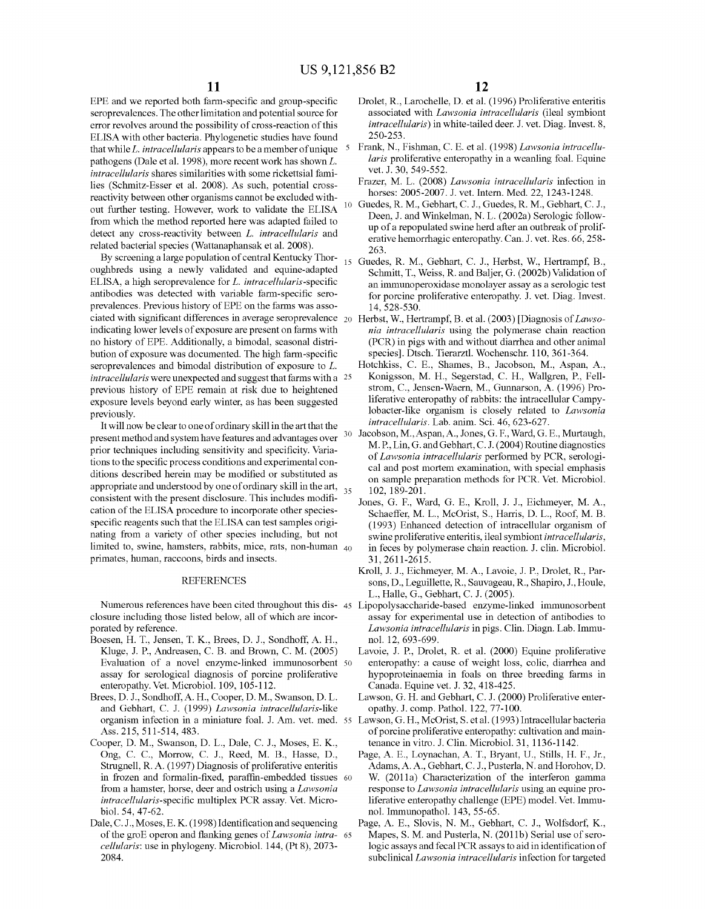EPE and we reported both farm-specific and group-specific seroprevalences. The other limitation and potential source for error revolves around the possibility of cross-reaction of this ELISA with other bacteria. Phylogenetic studies have found that while L. *intracellularis* appears to be a member of unique pathogens (Dale et al. 1998), more recent work has shown  $L$ . *intracellularis* shares similarities with some rickettsial families (Schmitz-Esser et al. 2008). As such, potential crossreactivity between other organisms cannot be excluded without further testing. However, work to validate the ELISA <sup>10</sup> from which the method reported here was adapted failed to detect any cross-reactivity between L. *intracellularis* and related bacterial species (Wattanaphansak et al. 2008).

By screening a large population of central Kentucky Thoroughbreds using a newly validated and equine-adapted ELISA, a high seroprevalence for L. *intracellularis-specific*  antibodies was detected with variable farm-specific seraprevalences. Previous history of EPE on the farms was associated with significant differences in average seroprevalence 20 Herbst, W., Hertrampf, B. eta!. (2003) [Diagnosis of *Lawso*indicating lower levels of exposure are present on farms with no history of EPE. Additionally, a bimodal, seasonal distribution of exposure was documented. The high farm-specific seroprevalences and bimodal distribution of exposure to L. *intracellularis* were unexpected and suggest that farms with a 25 previous history of EPE remain at risk due to heightened exposure levels beyond early winter, as has been suggested previously.

It will now be clear to one of ordinary skill in the art that the present method and system have features and advantages over prior techniques including sensitivity and specificity. Variations to the specific process conditions and experimental conditions described herein may be modified or substituted as appropriate and understood by one of ordinary skill in the art,  $35$ consistent with the present disclosure. This includes modification of the ELISA procedure to incorporate other speciesspecific reagents such that the ELISA can test samples originating from a variety of other species including, but not limited to, swine, hamsters, rabbits, mice, rats, non-human  $40$ primates, human, raccoons, birds and insects.

#### REFERENCES

Numerous references have been cited throughout this dis-45 Lipopolysaccharide-based enzyme-linked immunosorbent closure including those listed below, all of which are incorporated by reference.

- Boesen, H. T., Jensen, T. K., Brees, D. J., Sondhoff, A. H., nol. 12, 693-699. Kluge, J. P., Andreasen, C. B. and Brown, C. M. (2005) Evaluation of a novel enzyme-linked immunosorbent 50 assay for serological diagnosis of porcine proliferative enteropathy. Vet. Microbial. 109, 105-112.
- Brees, D. J., Sondhoff, A. H., Cooper, D. M., Swanson, D. L. and Gebhart, C. J. (1999) *Lawsonia intracellularis-like*  Ass. 215,511-514,483.
- Cooper, D. M., Swanson, D. L., Dale, C. J., Moses, E. K., Ong, C. C., Morrow, C. J., Reed, M. B., Hasse, D., Strugnell, R. A. (1997) Diagnosis of proliferative enteritis in frozen and formalin-fixed, paraffin-embedded tissues 60 from a hamster, horse, deer and ostrich using a *Lawsonia intracellularis-specific* multiplex PCR assay. Vet. Microbioi. 54, 47-62.
- Dale, C. J., Moses, E. K. (1998) Identification and sequencing of the groE operon and flanking genes of *Lawsonia intra-* <sup>65</sup> *cellularis:* use in phylogeny. Microbial. 144, (Pt 8), 2073- 2084.

**12** 

- Drolet, R., Larochelle, D. et al. (1996) Proliferative enteritis associated with *Lawsonia intracellularis* (ileal symbiont *intracellularis)* in white-tailed deer. J. vet. Diag. Invest. 8, 250-253.
- Frank, N., Fishman, C. E. et al. (1998) *Lawsonia intracellularis* proliferative enteropathy in a weanling foal. Equine vet. J. 30, 549-552.
- Frazer, M. L. (2008) *Lawsonia intracellularis* infection in horses: 2005-2007. J. vet. Intern. Med. 22, 1243-1248.
- Guedes, R. M., Gebhart, C. J., Guedes, R. M., Gebhart, C. J., Deen, J. and Winkelman, N. L. (2002a) Serologic followup of a repopulated swine herd after an outbreak of proliferative hemorrhagic enteropathy. Can. J. vet. Res. 66, 258- 263.
- Guedes, R. M., Gebhart, C. J., Herbst, W., Hertrampf, B., Schmitt, T., Weiss, R. and Baljer, G. (2002b) Validation of an immunoperoxidase monolayer assay as a serologic test for porcine proliferative enteropathy. J. vet. Diag. Invest. 14, 528-530.
	- *nia intracellularis* using the polymerase chain reaction (PCR) in pigs with and without diarrhea and other animal species]. Dtsch. Tierarztl. Wochenschr. 110, 361-364.
	- Hotchkiss, C. E., Shames, B., Jacobson, M., Aspan, A., Konigsson, M. H., Segerstad, C. H., Wallgren, P., Fellstrom, C., Jensen-Waern, M., Gunnarson, A. (1996) Proliferative enteropathy of rabbits: the intracellular Campylobacter-like organism is closely related to *Lawsonia intracellularis.* Lab. anim. Sci. 46, 623-627.
- Jacobson, M.,Aspan,A., Jones, G. F., Ward, G. E., Murtaugh, M.P., Lin, G. and Gebhart, C. J. (2004) Routine diagnostics of *Lawsonia intracellularis* performed by PCR, serological and post mortem examination, with special emphasis on sample preparation methods for PCR. Vet. Microbial. 102, 189-201.
	- Jones, G. F., Ward, G. E., Kroll, J. J., Eichmeyer, M. A., Schaeffer, M. L., McOrist, S., Harris, D. L., Roof, M. B. (1993) Enhanced detection of intracellular organism of swine proliferative enteritis, ileal symbiont *intracellularis,*  in feces by polymerase chain reaction. J. clin. Microbial. 31, 2611-2615.
	- Kroll, J. J., Eichmeyer, M.A., Lavoie, J.P., Drolet, R., Parsons, D., Leguillette, R., Sauvageau, R., Shapiro, J., Houle, L., Halle, G., Gebhart, C. J. (2005).
	- assay for experimental use in detection of antibodies to *Law sonia intracellularis* in pigs. Clin. Diagn. Lab. Immu-
	- Lavoie, J. P., Drolet, R. et al. (2000) Equine proliferative enteropathy: a cause of weight loss, colic, diarrhea and hypoproteinaemia in foals on three breeding farms in Canada. Equine vet. J. 32, 418-425.
	- Lawson, G. H. and Gebhart, C. J. (2000) Proliferative enteropathy. J. camp. Pathol. 122, 77-100.
- organism infection in a miniature foal. J. Am. vet. med. 55 Lawson, G. H., McOrist, S. eta!. (1993) Intracellular bacteria of porcine proliferative enteropathy: cultivation and maintenance in vitro. J. Clin. Microbial. 31, 1136-1142.
	- Page, A. E., Loynachan, A. T., Bryant, U., Stills, H. F., Jr., Adams, A. A., Gebhart, C. J., Pusterla, N. and Horohov, D. W. (2011a) Characterization of the interferon gannna response to *Lawsonia intracellularis* using an equine proliferative enteropathy challenge (EPE) model. Vet. Immunol. Immnnopathol. 143, 55-65.
	- Page, A. E., Slovis, N. M., Gebhart, C. J., Wolfsdorf, K., Mapes, S. M. and Pusterla, N. (2011b) Serial use of serologic assays and fecal PCR assays to aid in identification of subclinical *Law sonia intracellularis* infection for targeted